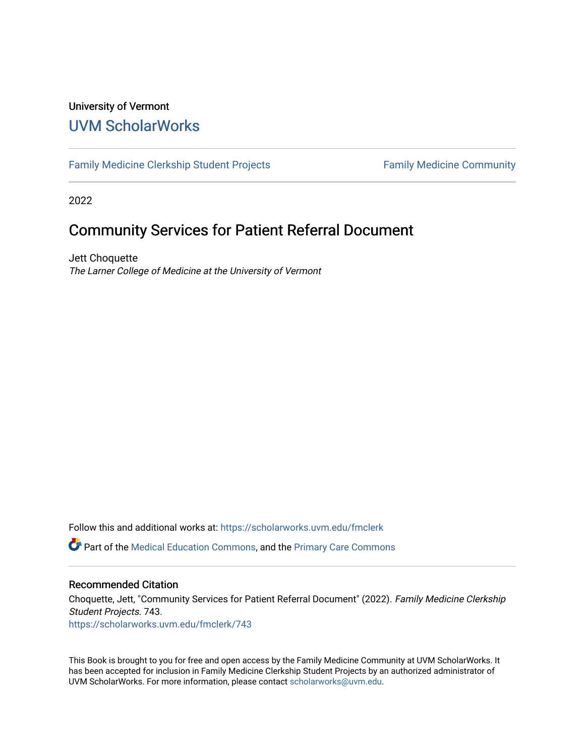#### University of Vermont [UVM ScholarWorks](https://scholarworks.uvm.edu/)

[Family Medicine Clerkship Student Projects](https://scholarworks.uvm.edu/fmclerk) Family Medicine Community

2022

#### Community Services for Patient Referral Document

Jett Choquette The Larner College of Medicine at the University of Vermont

Follow this and additional works at: [https://scholarworks.uvm.edu/fmclerk](https://scholarworks.uvm.edu/fmclerk?utm_source=scholarworks.uvm.edu%2Ffmclerk%2F743&utm_medium=PDF&utm_campaign=PDFCoverPages) 

Part of the [Medical Education Commons,](http://network.bepress.com/hgg/discipline/1125?utm_source=scholarworks.uvm.edu%2Ffmclerk%2F743&utm_medium=PDF&utm_campaign=PDFCoverPages) and the [Primary Care Commons](http://network.bepress.com/hgg/discipline/1092?utm_source=scholarworks.uvm.edu%2Ffmclerk%2F743&utm_medium=PDF&utm_campaign=PDFCoverPages) 

#### Recommended Citation

Choquette, Jett, "Community Services for Patient Referral Document" (2022). Family Medicine Clerkship Student Projects. 743. [https://scholarworks.uvm.edu/fmclerk/743](https://scholarworks.uvm.edu/fmclerk/743?utm_source=scholarworks.uvm.edu%2Ffmclerk%2F743&utm_medium=PDF&utm_campaign=PDFCoverPages) 

This Book is brought to you for free and open access by the Family Medicine Community at UVM ScholarWorks. It has been accepted for inclusion in Family Medicine Clerkship Student Projects by an authorized administrator of UVM ScholarWorks. For more information, please contact [scholarworks@uvm.edu.](mailto:scholarworks@uvm.edu)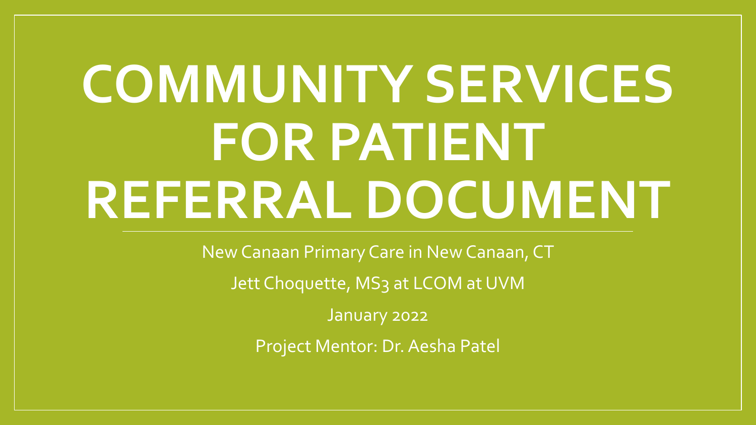# **COMMUNITY SERVICES FOR PATIENT REFERRAL DOCUMENT**

New Canaan Primary Care in New Canaan, CT

Jett Choquette, MS<sub>3</sub> at LCOM at UVM

January 2022

Project Mentor: Dr. Aesha Patel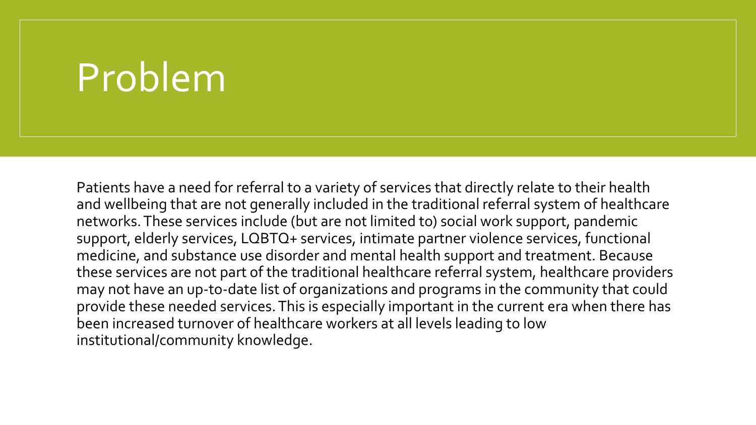### Problem

Patients have a need for referral to a variety of services that directly relate to their health and wellbeing that are not generally included in the traditional referral system of healthcare networks. These services include (but are not limited to) social work support, pandemic support, elderly services, LQBTQ+ services, intimate partner violence services, functional medicine, and substance use disorder and mental health support and treatment. Because these services are not part of the traditional healthcare referral system, healthcare providers may not have an up-to-date list of organizations and programs in the community that could provide these needed services. This is especially important in the current era when there has been increased turnover of healthcare workers at all levels leading to low institutional/community knowledge.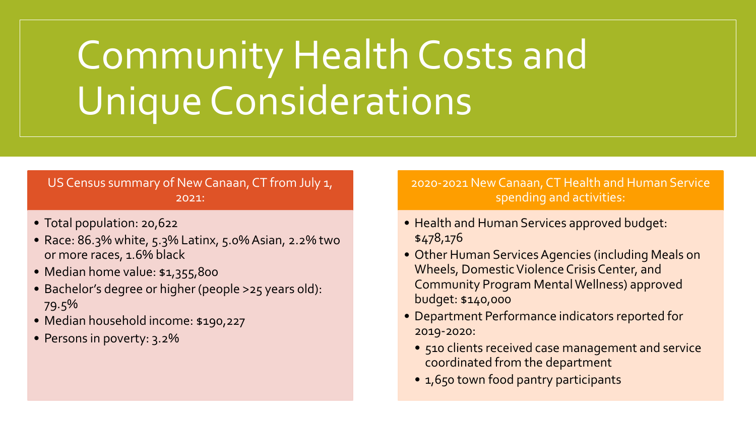## Community Health Costs and Unique Considerations

#### US Census summary of New Canaan, CT from July 1, 2021:

- Total population: 20,622
- Race: 86.3% white, 5.3% Latinx, 5.0% Asian, 2.2% two or more races, 1.6% black
- Median home value: \$1,355,800
- Bachelor's degree or higher (people >25 years old): 79.5%
- Median household income: \$190,227
- Persons in poverty: 3.2%

2020-2021 New Canaan, CT Health and Human Service spending and activities:

- Health and Human Services approved budget: \$478,176
- Other Human Services Agencies (including Meals on Wheels, Domestic Violence Crisis Center, and Community Program Mental Wellness) approved budget: \$140,000
- Department Performance indicators reported for 2019-2020:
	- 510 clients received case management and service coordinated from the department
	- 1,650 town food pantry participants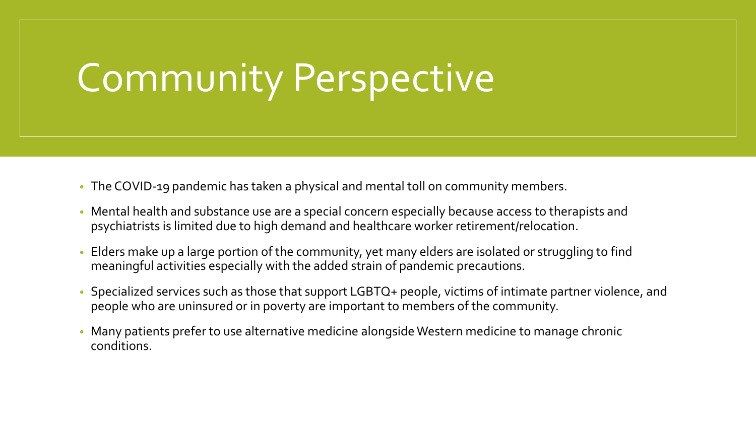### Community Perspective

- The COVID-19 pandemic has taken a physical and mental toll on community members.
- Mental health and substance use are a special concern especially because access to therapists and psychiatrists is limited due to high demand and healthcare worker retirement/relocation.
- Elders make up a large portion of the community, yet many elders are isolated or struggling to find meaningful activities especially with the added strain of pandemic precautions.
- Specialized services such as those that support LGBTQ+ people, victims of intimate partner violence, and people who are uninsured or in poverty are important to members of the community.
- Many patients prefer to use alternative medicine alongside Western medicine to manage chronic conditions.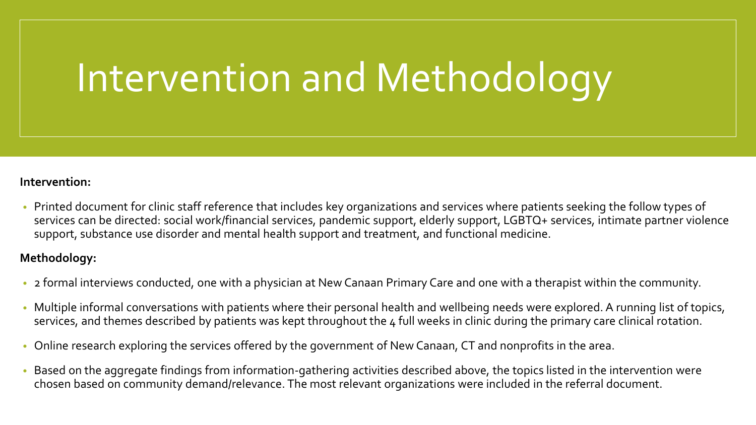### Intervention and Methodology

#### **Intervention:**

• Printed document for clinic staff reference that includes key organizations and services where patients seeking the follow types of services can be directed: social work/financial services, pandemic support, elderly support, LGBTQ+ services, intimate partner violence support, substance use disorder and mental health support and treatment, and functional medicine.

#### **Methodology:**

- 2 formal interviews conducted, one with a physician at New Canaan Primary Care and one with a therapist within the community.
- Multiple informal conversations with patients where their personal health and wellbeing needs were explored. A running list of topics, services, and themes described by patients was kept throughout the 4 full weeks in clinic during the primary care clinical rotation.
- Online research exploring the services offered by the government of New Canaan, CT and nonprofits in the area.
- Based on the aggregate findings from information-gathering activities described above, the topics listed in the intervention were chosen based on community demand/relevance. The most relevant organizations were included in the referral document.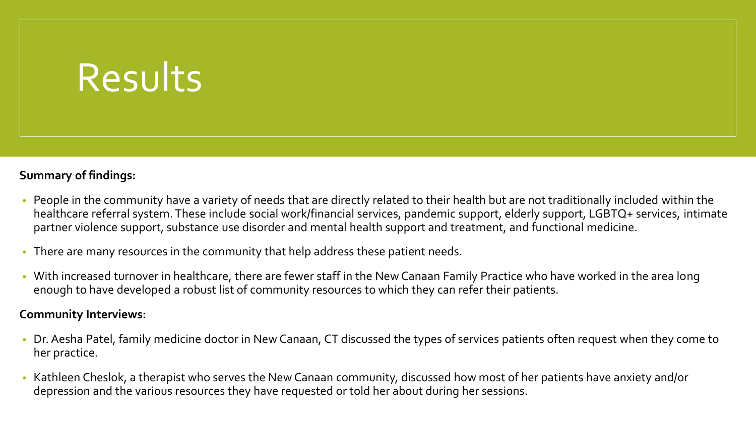### Results

#### **Summary of findings:**

- People in the community have a variety of needs that are directly related to their health but are not traditionally included within the healthcare referral system. These include social work/financial services, pandemic support, elderly support, LGBTQ+ services, intimate partner violence support, substance use disorder and mental health support and treatment, and functional medicine.
- There are many resources in the community that help address these patient needs.
- With increased turnover in healthcare, there are fewer staff in the New Canaan Family Practice who have worked in the area long enough to have developed a robust list of community resources to which they can refer their patients.

#### **Community Interviews:**

- Dr. Aesha Patel, family medicine doctor in New Canaan, CT discussed the types of services patients often request when they come to her practice.
- Kathleen Cheslok, a therapist who serves the New Canaan community, discussed how most of her patients have anxiety and/or depression and the various resources they have requested or told her about during her sessions.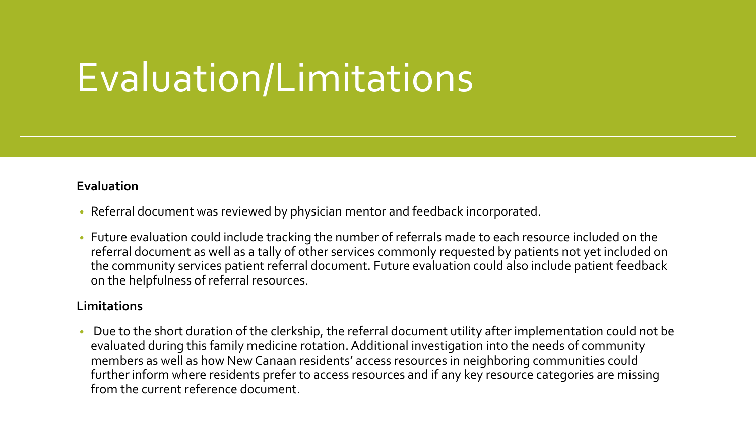### Evaluation/Limitations

#### **Evaluation**

- Referral document was reviewed by physician mentor and feedback incorporated.
- Future evaluation could include tracking the number of referrals made to each resource included on the referral document as well as a tally of other services commonly requested by patients not yet included on the community services patient referral document. Future evaluation could also include patient feedback on the helpfulness of referral resources.

#### **Limitations**

• Due to the short duration of the clerkship, the referral document utility after implementation could not be evaluated during this family medicine rotation. Additional investigation into the needs of community members as well as how New Canaan residents' access resources in neighboring communities could further inform where residents prefer to access resources and if any key resource categories are missing from the current reference document.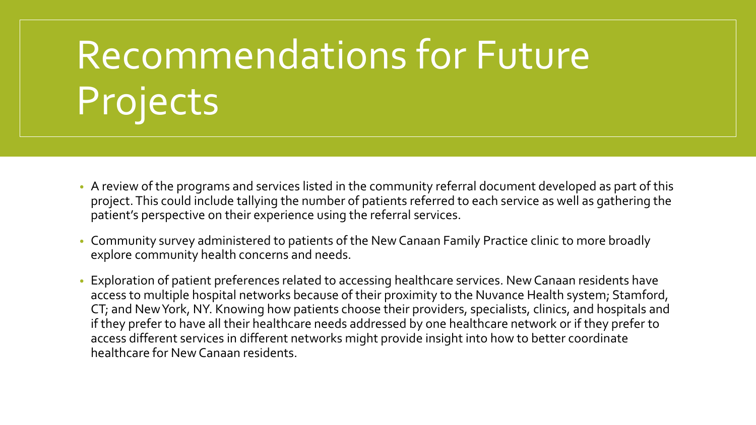# Recommendations for Future Projects

- A review of the programs and services listed in the community referral document developed as part of this project. This could include tallying the number of patients referred to each service as well as gathering the patient's perspective on their experience using the referral services.
- Community survey administered to patients of the New Canaan Family Practice clinic to more broadly explore community health concerns and needs.
- Exploration of patient preferences related to accessing healthcare services. New Canaan residents have access to multiple hospital networks because of their proximity to the Nuvance Health system; Stamford, CT; and New York, NY. Knowing how patients choose their providers, specialists, clinics, and hospitals and if they prefer to have all their healthcare needs addressed by one healthcare network or if they prefer to access different services in different networks might provide insight into how to better coordinate healthcare for New Canaan residents.